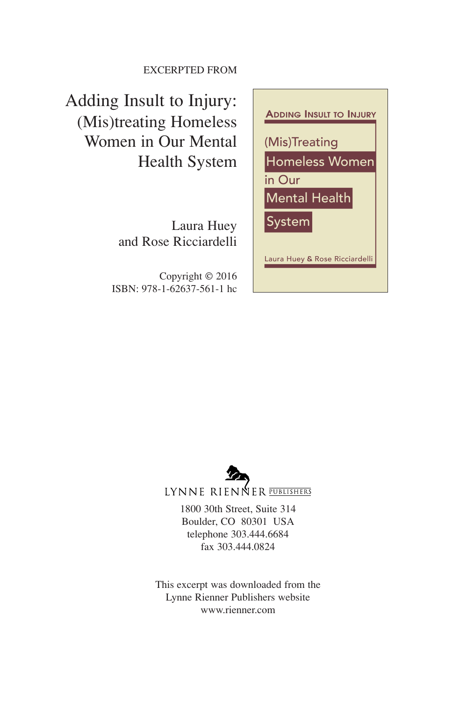#### EXCERPTED FROM

Adding Insult to Injury: (Mis)treating Homeless Women in Our Mental Health System

> Laura Huey and Rose Ricciardelli

Copyright © 2016 ISBN: 978-1-62637-561-1 hc





LYNNE RIENNER PUBLISHERS

1800 30th Street, Suite 314 Boulder, CO 80301 USA telephone 303.444.6684 fax 303.444.0824

This excerpt was downloaded from the Lynne Rienner Publishers website www.rienner.com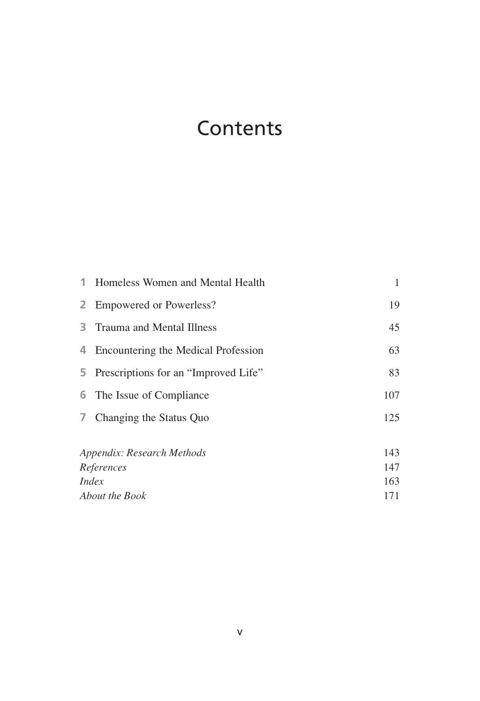### **Contents**

|                              | 1 Homeless Women and Mental Health     | 1   |
|------------------------------|----------------------------------------|-----|
|                              | 2 Empowered or Powerless?              | 19  |
| 3.                           | Trauma and Mental Illness              | 45  |
|                              | 4 Encountering the Medical Profession  | 63  |
|                              | 5 Prescriptions for an "Improved Life" | 83  |
|                              | 6 The Issue of Compliance              | 107 |
| $\overline{7}$               | Changing the Status Quo                | 125 |
| Appendix: Research Methods   |                                        | 143 |
| References                   |                                        | 147 |
| <i>Index</i>                 |                                        | 163 |
| <i><b>About the Book</b></i> |                                        | 171 |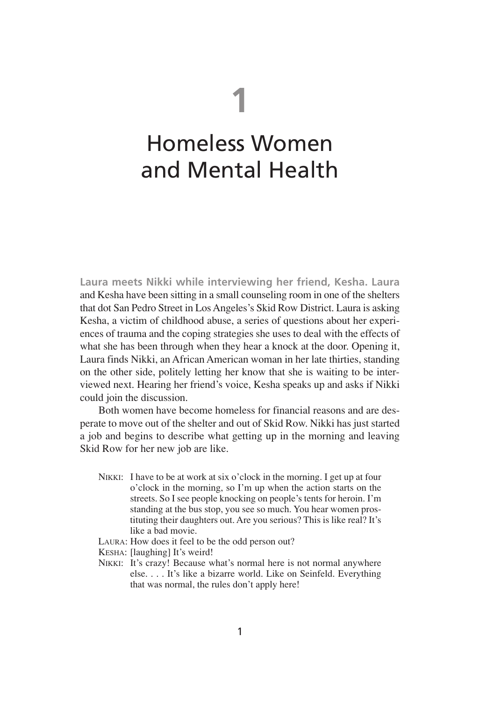# **1**

## Homeless Women and Mental Health

**Laura meets Nikki while interviewing her friend, Kesha. Laura** and Kesha have been sitting in a small counseling room in one of the shelters that dot San Pedro Street in Los Angeles's Skid Row District. Laura is asking Kesha, a victim of childhood abuse, a series of questions about her experiences of trauma and the coping strategies she uses to deal with the effects of what she has been through when they hear a knock at the door. Opening it, Laura finds Nikki, an African American woman in her late thirties, standing on the other side, politely letting her know that she is waiting to be interviewed next. Hearing her friend's voice, Kesha speaks up and asks if Nikki could join the discussion.

Both women have become homeless for financial reasons and are desperate to move out of the shelter and out of Skid Row. Nikki has just started a job and begins to describe what getting up in the morning and leaving Skid Row for her new job are like.

- NIKKI: I have to be at work at six o'clock in the morning. I get up at four o'clock in the morning, so I'm up when the action starts on the streets. So I see people knocking on people's tents for heroin. I'm standing at the bus stop, you see so much. You hear women prostituting their daughters out. Are you serious? This is like real? It's like a bad movie.
- LAURA: How does it feel to be the odd person out?
- KESHA: [laughing] It's weird!
- NIKKI: It's crazy! Because what's normal here is not normal anywhere else. . . . It's like a bizarre world. Like on Seinfeld. Everything that was normal, the rules don't apply here!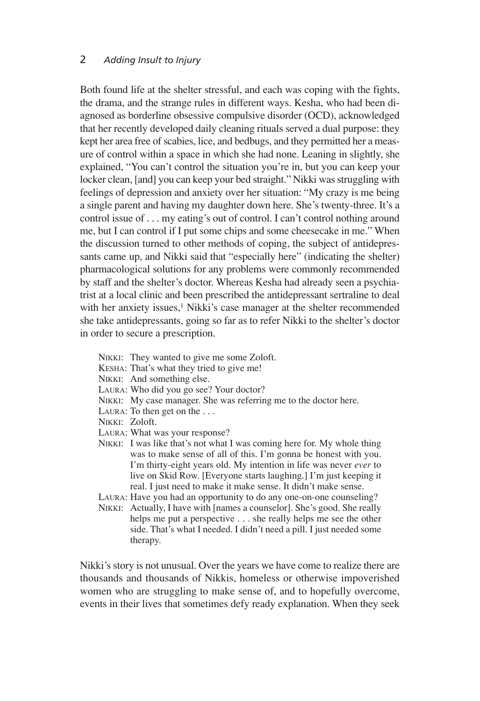Both found life at the shelter stressful, and each was coping with the fights, the drama, and the strange rules in different ways. Kesha, who had been diagnosed as borderline obsessive compulsive disorder (OCD), acknowledged that her recently developed daily cleaning rituals served a dual purpose: they kept her area free of scabies, lice, and bedbugs, and they permitted her a measure of control within a space in which she had none. Leaning in slightly, she explained, "You can't control the situation you're in, but you can keep your locker clean, [and] you can keep your bed straight." Nikki was struggling with feelings of depression and anxiety over her situation: "My crazy is me being a single parent and having my daughter down here. She's twenty-three. It's a control issue of . . . my eating's out of control. I can't control nothing around me, but I can control if I put some chips and some cheesecake in me." When the discussion turned to other methods of coping, the subject of antidepressants came up, and Nikki said that "especially here" (indicating the shelter) pharmacological solutions for any problems were commonly recommended by staff and the shelter's doctor. Whereas Kesha had already seen a psychiatrist at a local clinic and been prescribed the antidepressant sertraline to deal with her anxiety issues.<sup>1</sup> Nikki's case manager at the shelter recommended she take antidepressants, going so far as to refer Nikki to the shelter's doctor in order to secure a prescription.

- NIKKI: They wanted to give me some Zoloft.
- KESHA: That's what they tried to give me!
- NIKKI: And something else.
- LAURA: Who did you go see? Your doctor?
- NIKKI: My case manager. She was referring me to the doctor here.
- LAURA: To then get on the ...
- NIKKI: Zoloft.
- LAURA: What was your response?
- NIKKI: I was like that's not what I was coming here for. My whole thing was to make sense of all of this. I'm gonna be honest with you. I'm thirty-eight years old. My intention in life was never *ever* to live on Skid Row. [Everyone starts laughing.] I'm just keeping it real. I just need to make it make sense. It didn't make sense.
- LAURA: Have you had an opportunity to do any one-on-one counseling?
- NIKKI: Actually, I have with [names a counselor]. She's good. She really helps me put a perspective . . . she really helps me see the other side. That's what I needed. I didn't need a pill. I just needed some therapy.

Nikki's story is not unusual. Over the years we have come to realize there are thousands and thousands of Nikkis, homeless or otherwise impoverished women who are struggling to make sense of, and to hopefully overcome, events in their lives that sometimes defy ready explanation. When they seek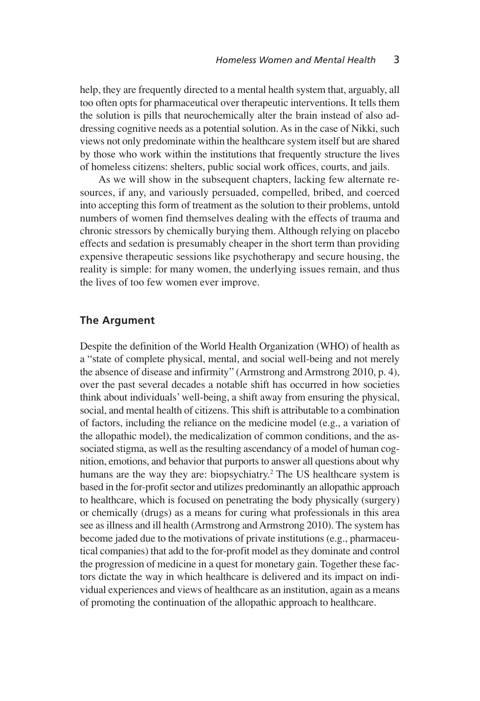help, they are frequently directed to a mental health system that, arguably, all too often opts for pharmaceutical over therapeutic interventions. It tells them the solution is pills that neurochemically alter the brain instead of also addressing cognitive needs as a potential solution. As in the case of Nikki, such views not only predominate within the healthcare system itself but are shared by those who work within the institutions that frequently structure the lives of homeless citizens: shelters, public social work offices, courts, and jails.

As we will show in the subsequent chapters, lacking few alternate resources, if any, and variously persuaded, compelled, bribed, and coerced into accepting this form of treatment as the solution to their problems, untold numbers of women find themselves dealing with the effects of trauma and chronic stressors by chemically burying them. Although relying on placebo effects and sedation is presumably cheaper in the short term than providing expensive therapeutic sessions like psychotherapy and secure housing, the reality is simple: for many women, the underlying issues remain, and thus the lives of too few women ever improve.

#### **The Argument**

Despite the definition of the World Health Organization (WHO) of health as a "state of complete physical, mental, and social well-being and not merely the absence of disease and infirmity" (Armstrong and Armstrong 2010, p. 4), over the past several decades a notable shift has occurred in how societies think about individuals' well-being, a shift away from ensuring the physical, social, and mental health of citizens. This shift is attributable to a combination of factors, including the reliance on the medicine model (e.g., a variation of the allopathic model), the medicalization of common conditions, and the associated stigma, as well as the resulting ascendancy of a model of human cognition, emotions, and behavior that purports to answer all questions about why humans are the way they are: biopsychiatry.<sup>2</sup> The US healthcare system is based in the for-profit sector and utilizes predominantly an allopathic approach to healthcare, which is focused on penetrating the body physically (surgery) or chemically (drugs) as a means for curing what professionals in this area see as illness and ill health (Armstrong and Armstrong 2010). The system has become jaded due to the motivations of private institutions (e.g., pharmaceutical companies) that add to the for-profit model asthey dominate and control the progression of medicine in a quest for monetary gain. Together these factors dictate the way in which healthcare is delivered and its impact on individual experiences and views of healthcare as an institution, again as a means of promoting the continuation of the allopathic approach to healthcare.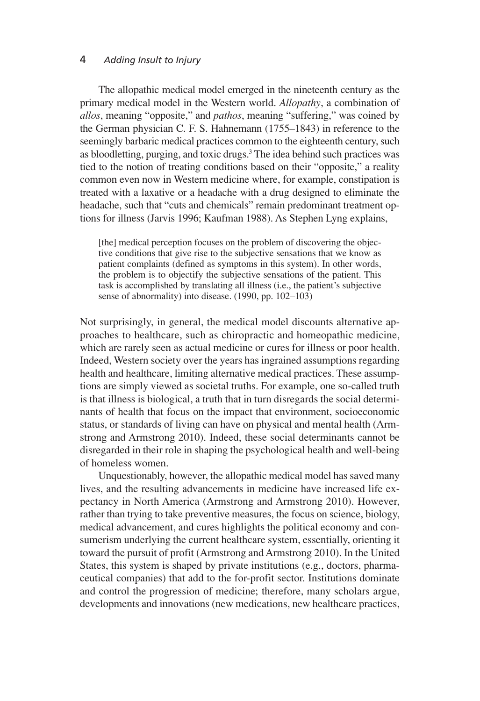#### 4 *Adding Insult to Injury*

The allopathic medical model emerged in the nineteenth century as the primary medical model in the Western world. *Allopathy*, a combination of *allos*, meaning "opposite," and *pathos*, meaning "suffering," was coined by the German physician C. F. S. Hahnemann (1755–1843) in reference to the seemingly barbaric medical practices common to the eighteenth century, such as bloodletting, purging, and toxic drugs. <sup>3</sup> The idea behind such practices was tied to the notion of treating conditions based on their "opposite," a reality common even now in Western medicine where, for example, constipation is treated with a laxative or a headache with a drug designed to eliminate the headache, such that "cuts and chemicals" remain predominant treatment options for illness (Jarvis 1996; Kaufman 1988). As Stephen Lyng explains,

[the] medical perception focuses on the problem of discovering the objective conditions that give rise to the subjective sensations that we know as patient complaints (defined as symptoms in this system). In other words, the problem is to objectify the subjective sensations of the patient. This task is accomplished by translating all illness (i.e., the patient's subjective sense of abnormality) into disease. (1990, pp. 102–103)

Not surprisingly, in general, the medical model discounts alternative approaches to healthcare, such as chiropractic and homeopathic medicine, which are rarely seen as actual medicine or cures for illness or poor health. Indeed, Western society over the years has ingrained assumptions regarding health and healthcare, limiting alternative medical practices. These assumptions are simply viewed as societal truths. For example, one so-called truth is that illness is biological, a truth that in turn disregards the social determinants of health that focus on the impact that environment, socioeconomic status, or standards of living can have on physical and mental health (Armstrong and Armstrong 2010). Indeed, these social determinants cannot be disregarded in their role in shaping the psychological health and well-being of homeless women.

Unquestionably, however, the allopathic medical model has saved many lives, and the resulting advancements in medicine have increased life expectancy in North America (Armstrong and Armstrong 2010). However, rather than trying to take preventive measures, the focus on science, biology, medical advancement, and cures highlights the political economy and consumerism underlying the current healthcare system, essentially, orienting it toward the pursuit of profit (Armstrong and Armstrong 2010). In the United States, this system is shaped by private institutions (e.g., doctors, pharmaceutical companies) that add to the for-profit sector. Institutions dominate and control the progression of medicine; therefore, many scholars argue, developments and innovations (new medications, new healthcare practices,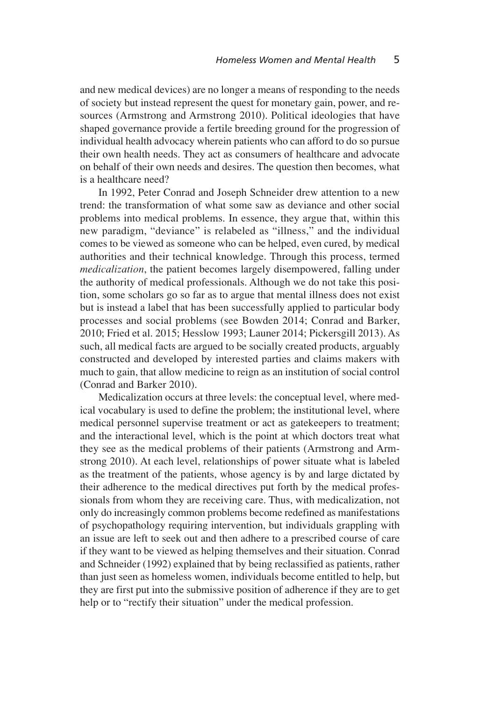and new medical devices) are no longer a means of responding to the needs of society but instead represent the quest for monetary gain, power, and resources (Armstrong and Armstrong 2010). Political ideologies that have shaped governance provide a fertile breeding ground for the progression of individual health advocacy wherein patients who can afford to do so pursue their own health needs. They act as consumers of healthcare and advocate on behalf of their own needs and desires. The question then becomes, what is a healthcare need?

In 1992, Peter Conrad and Joseph Schneider drew attention to a new trend: the transformation of what some saw as deviance and other social problems into medical problems. In essence, they argue that, within this new paradigm, "deviance" is relabeled as "illness," and the individual comes to be viewed as someone who can be helped, even cured, by medical authorities and their technical knowledge. Through this process, termed *medicalization*, the patient becomes largely disempowered, falling under the authority of medical professionals. Although we do not take this position, some scholars go so far as to argue that mental illness does not exist but is instead a label that has been successfully applied to particular body processes and social problems (see Bowden 2014; Conrad and Barker, 2010; Fried et al. 2015; Hesslow 1993; Launer 2014; Pickersgill 2013). As such, all medical facts are argued to be socially created products, arguably constructed and developed by interested parties and claims makers with much to gain, that allow medicine to reign as an institution of social control (Conrad and Barker 2010).

Medicalization occurs at three levels: the conceptual level, where medical vocabulary is used to define the problem; the institutional level, where medical personnel supervise treatment or act as gatekeepers to treatment; and the interactional level, which is the point at which doctors treat what they see as the medical problems of their patients (Armstrong and Armstrong 2010). At each level, relationships of power situate what is labeled as the treatment of the patients, whose agency is by and large dictated by their adherence to the medical directives put forth by the medical professionals from whom they are receiving care. Thus, with medicalization, not only do increasingly common problems become redefined as manifestations of psychopathology requiring intervention, but individuals grappling with an issue are left to seek out and then adhere to a prescribed course of care if they want to be viewed as helping themselves and their situation. Conrad and Schneider (1992) explained that by being reclassified as patients, rather than just seen as homeless women, individuals become entitled to help, but they are first put into the submissive position of adherence if they are to get help or to "rectify their situation" under the medical profession.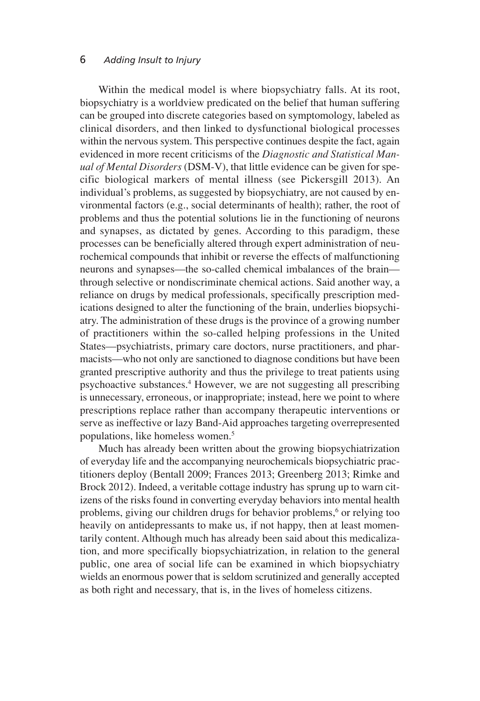Within the medical model is where biopsychiatry falls. At its root, biopsychiatry is a worldview predicated on the belief that human suffering can be grouped into discrete categories based on symptomology, labeled as clinical disorders, and then linked to dysfunctional biological processes within the nervous system. This perspective continues despite the fact, again evidenced in more recent criticisms of the *Diagnostic and Statistical Manual of Mental Disorders* (DSM-V), that little evidence can be given for specific biological markers of mental illness (see Pickersgill 2013). An individual's problems, as suggested by biopsychiatry, are not caused by environmental factors (e.g., social determinants of health); rather, the root of problems and thus the potential solutions lie in the functioning of neurons and synapses, as dictated by genes. According to this paradigm, these processes can be beneficially altered through expert administration of neurochemical compounds that inhibit or reverse the effects of malfunctioning neurons and synapses—the so-called chemical imbalances of the brain through selective or nondiscriminate chemical actions. Said another way, a reliance on drugs by medical professionals, specifically prescription medications designed to alter the functioning of the brain, underlies biopsychiatry. The administration of these drugs is the province of a growing number of practitioners within the so-called helping professions in the United States—psychiatrists, primary care doctors, nurse practitioners, and pharmacists—who not only are sanctioned to diagnose conditions but have been granted prescriptive authority and thus the privilege to treat patients using psychoactive substances. <sup>4</sup> However, we are not suggesting all prescribing is unnecessary, erroneous, or inappropriate; instead, here we point to where prescriptions replace rather than accompany therapeutic interventions or serve as ineffective or lazy Band-Aid approaches targeting overrepresented populations, like homeless women. 5

Much has already been written about the growing biopsychiatrization of everyday life and the accompanying neurochemicals biopsychiatric practitioners deploy (Bentall 2009; Frances 2013; Greenberg 2013; Rimke and Brock 2012). Indeed, a veritable cottage industry has sprung up to warn citizens of the risks found in converting everyday behaviors into mental health problems, giving our children drugs for behavior problems, <sup>6</sup> or relying too heavily on antidepressants to make us, if not happy, then at least momentarily content. Although much has already been said about this medicalization, and more specifically biopsychiatrization, in relation to the general public, one area of social life can be examined in which biopsychiatry wields an enormous power that is seldom scrutinized and generally accepted as both right and necessary, that is, in the lives of homeless citizens.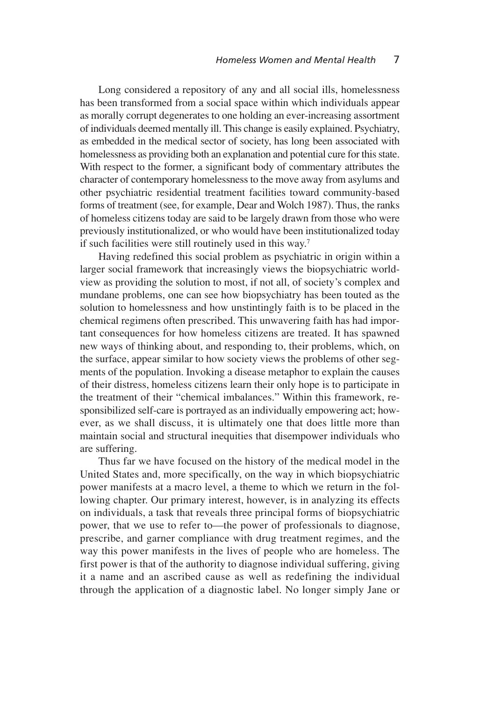Long considered a repository of any and all social ills, homelessness has been transformed from a social space within which individuals appear as morally corrupt degenerates to one holding an ever-increasing assortment of individuals deemed mentally ill. This change is easily explained. Psychiatry, as embedded in the medical sector of society, has long been associated with homelessness as providing both an explanation and potential cure for this state. With respect to the former, a significant body of commentary attributes the character of contemporary homelessness to the move away from asylums and other psychiatric residential treatment facilities toward community-based forms of treatment (see, for example, Dear and Wolch 1987). Thus, the ranks of homeless citizens today are said to be largely drawn from those who were previously institutionalized, or who would have been institutionalized today if such facilities were still routinely used in this way.<sup>7</sup>

Having redefined this social problem as psychiatric in origin within a larger social framework that increasingly views the biopsychiatric worldview as providing the solution to most, if not all, of society's complex and mundane problems, one can see how biopsychiatry has been touted as the solution to homelessness and how unstintingly faith is to be placed in the chemical regimens often prescribed. This unwavering faith has had important consequences for how homeless citizens are treated. It has spawned new ways of thinking about, and responding to, their problems, which, on the surface, appear similar to how society views the problems of other segments of the population. Invoking a disease metaphor to explain the causes of their distress, homeless citizens learn their only hope is to participate in the treatment of their "chemical imbalances." Within this framework, responsibilized self-care is portrayed as an individually empowering act; however, as we shall discuss, it is ultimately one that does little more than maintain social and structural inequities that disempower individuals who are suffering.

Thus far we have focused on the history of the medical model in the United States and, more specifically, on the way in which biopsychiatric power manifests at a macro level, a theme to which we return in the following chapter. Our primary interest, however, is in analyzing its effects on individuals, a task that reveals three principal forms of biopsychiatric power, that we use to refer to—the power of professionals to diagnose, prescribe, and garner compliance with drug treatment regimes, and the way this power manifests in the lives of people who are homeless. The first power is that of the authority to diagnose individual suffering, giving it a name and an ascribed cause as well as redefining the individual through the application of a diagnostic label. No longer simply Jane or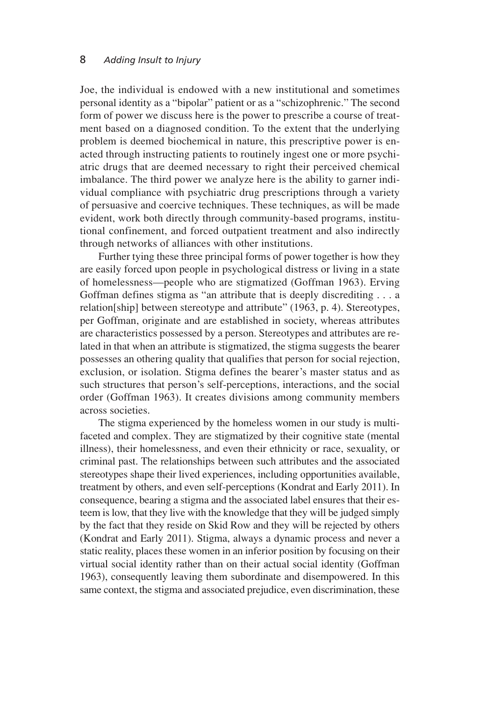Joe, the individual is endowed with a new institutional and sometimes personal identity as a "bipolar" patient or as a "schizophrenic." The second form of power we discuss here is the power to prescribe a course of treatment based on a diagnosed condition. To the extent that the underlying problem is deemed biochemical in nature, this prescriptive power is enacted through instructing patients to routinely ingest one or more psychiatric drugs that are deemed necessary to right their perceived chemical imbalance. The third power we analyze here is the ability to garner individual compliance with psychiatric drug prescriptions through a variety of persuasive and coercive techniques. These techniques, as will be made evident, work both directly through community-based programs, institutional confinement, and forced outpatient treatment and also indirectly through networks of alliances with other institutions.

Further tying these three principal forms of power together is how they are easily forced upon people in psychological distress or living in a state of homelessness—people who are stigmatized (Goffman 1963). Erving Goffman defines stigma as "an attribute that is deeply discrediting . . . a relation[ship] between stereotype and attribute" (1963, p. 4). Stereotypes, per Goffman, originate and are established in society, whereas attributes are characteristics possessed by a person. Stereotypes and attributes are related in that when an attribute is stigmatized, the stigma suggests the bearer possesses an othering quality that qualifies that person for social rejection, exclusion, or isolation. Stigma defines the bearer's master status and as such structures that person's self-perceptions, interactions, and the social order (Goffman 1963). It creates divisions among community members across societies.

The stigma experienced by the homeless women in our study is multifaceted and complex. They are stigmatized by their cognitive state (mental illness), their homelessness, and even their ethnicity or race, sexuality, or criminal past. The relationships between such attributes and the associated stereotypes shape their lived experiences, including opportunities available, treatment by others, and even self-perceptions (Kondrat and Early 2011). In consequence, bearing a stigma and the associated label ensures that their esteem is low, that they live with the knowledge that they will be judged simply by the fact that they reside on Skid Row and they will be rejected by others (Kondrat and Early 2011). Stigma, always a dynamic process and never a static reality, places these women in an inferior position by focusing on their virtual social identity rather than on their actual social identity (Goffman 1963), consequently leaving them subordinate and disempowered. In this same context, the stigma and associated prejudice, even discrimination, these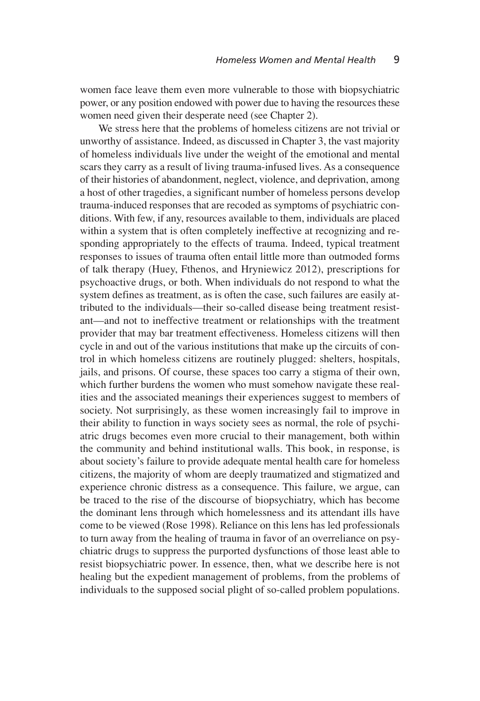women face leave them even more vulnerable to those with biopsychiatric power, or any position endowed with power due to having the resources these women need given their desperate need (see Chapter 2).

We stress here that the problems of homeless citizens are not trivial or unworthy of assistance. Indeed, as discussed in Chapter 3, the vast majority of homeless individuals live under the weight of the emotional and mental scars they carry as a result of living trauma-infused lives. As a consequence of their histories of abandonment, neglect, violence, and deprivation, among a host of other tragedies, a significant number of homeless persons develop trauma-induced responses that are recoded as symptoms of psychiatric conditions. With few, if any, resources available to them, individuals are placed within a system that is often completely ineffective at recognizing and responding appropriately to the effects of trauma. Indeed, typical treatment responses to issues of trauma often entail little more than outmoded forms of talk therapy (Huey, Fthenos, and Hryniewicz 2012), prescriptions for psychoactive drugs, or both. When individuals do not respond to what the system defines as treatment, as is often the case, such failures are easily attributed to the individuals—their so-called disease being treatment resistant—and not to ineffective treatment or relationships with the treatment provider that may bar treatment effectiveness. Homeless citizens will then cycle in and out of the various institutions that make up the circuits of control in which homeless citizens are routinely plugged: shelters, hospitals, jails, and prisons. Of course, these spaces too carry a stigma of their own, which further burdens the women who must somehow navigate these realities and the associated meanings their experiences suggest to members of society. Not surprisingly, as these women increasingly fail to improve in their ability to function in ways society sees as normal, the role of psychiatric drugs becomes even more crucial to their management, both within the community and behind institutional walls. This book, in response, is about society's failure to provide adequate mental health care for homeless citizens, the majority of whom are deeply traumatized and stigmatized and experience chronic distress as a consequence. This failure, we argue, can be traced to the rise of the discourse of biopsychiatry, which has become the dominant lens through which homelessness and its attendant ills have come to be viewed (Rose 1998). Reliance on this lens has led professionals to turn away from the healing of trauma in favor of an overreliance on psychiatric drugs to suppress the purported dysfunctions of those least able to resist biopsychiatric power. In essence, then, what we describe here is not healing but the expedient management of problems, from the problems of individuals to the supposed social plight of so-called problem populations.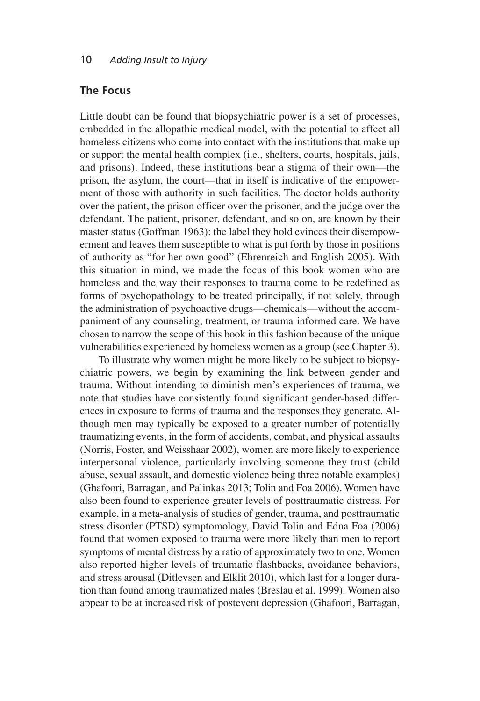#### **The Focus**

Little doubt can be found that biopsychiatric power is a set of processes, embedded in the allopathic medical model, with the potential to affect all homeless citizens who come into contact with the institutions that make up or support the mental health complex (i.e., shelters, courts, hospitals, jails, and prisons). Indeed, these institutions bear a stigma of their own—the prison, the asylum, the court—that in itself is indicative of the empowerment of those with authority in such facilities. The doctor holds authority over the patient, the prison officer over the prisoner, and the judge over the defendant. The patient, prisoner, defendant, and so on, are known by their master status (Goffman 1963): the label they hold evinces their disempowerment and leaves them susceptible to what is put forth by those in positions of authority as "for her own good" (Ehrenreich and English 2005). With this situation in mind, we made the focus of this book women who are homeless and the way their responses to trauma come to be redefined as forms of psychopathology to be treated principally, if not solely, through the administration of psychoactive drugs—chemicals—without the accompaniment of any counseling, treatment, or trauma-informed care. We have chosen to narrow the scope of this book in this fashion because of the unique vulnerabilities experienced by homeless women as a group (see Chapter 3).

To illustrate why women might be more likely to be subject to biopsychiatric powers, we begin by examining the link between gender and trauma. Without intending to diminish men's experiences of trauma, we note that studies have consistently found significant gender-based differences in exposure to forms of trauma and the responses they generate. Although men may typically be exposed to a greater number of potentially traumatizing events, in the form of accidents, combat, and physical assaults (Norris, Foster, and Weisshaar 2002), women are more likely to experience interpersonal violence, particularly involving someone they trust (child abuse, sexual assault, and domestic violence being three notable examples) (Ghafoori, Barragan, and Palinkas 2013; Tolin and Foa 2006). Women have also been found to experience greater levels of posttraumatic distress. For example, in a meta-analysis of studies of gender, trauma, and posttraumatic stress disorder (PTSD) symptomology, David Tolin and Edna Foa (2006) found that women exposed to trauma were more likely than men to report symptoms of mental distress by a ratio of approximately two to one. Women also reported higher levels of traumatic flashbacks, avoidance behaviors, and stress arousal (Ditlevsen and Elklit 2010), which last for a longer duration than found among traumatized males (Breslau et al. 1999). Women also appear to be at increased risk of postevent depression (Ghafoori, Barragan,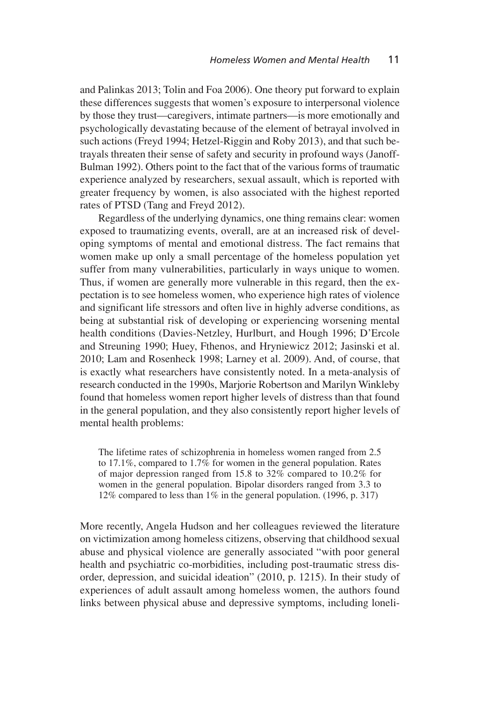and Palinkas 2013; Tolin and Foa 2006). One theory put forward to explain these differences suggests that women's exposure to interpersonal violence by those they trust—caregivers, intimate partners—is more emotionally and psychologically devastating because of the element of betrayal involved in such actions (Freyd 1994; Hetzel-Riggin and Roby 2013), and that such betrayals threaten their sense of safety and security in profound ways (Janoff-Bulman 1992). Others point to the fact that of the various forms of traumatic experience analyzed by researchers, sexual assault, which is reported with greater frequency by women, is also associated with the highest reported rates of PTSD (Tang and Freyd 2012).

Regardless of the underlying dynamics, one thing remains clear: women exposed to traumatizing events, overall, are at an increased risk of developing symptoms of mental and emotional distress. The fact remains that women make up only a small percentage of the homeless population yet suffer from many vulnerabilities, particularly in ways unique to women. Thus, if women are generally more vulnerable in this regard, then the expectation is to see homeless women, who experience high rates of violence and significant life stressors and often live in highly adverse conditions, as being at substantial risk of developing or experiencing worsening mental health conditions (Davies-Netzley, Hurlburt, and Hough 1996; D'Ercole and Streuning 1990; Huey, Fthenos, and Hryniewicz 2012; Jasinski et al. 2010; Lam and Rosenheck 1998; Larney et al. 2009). And, of course, that is exactly what researchers have consistently noted. In a meta-analysis of research conducted in the 1990s, Marjorie Robertson and Marilyn Winkleby found that homeless women report higher levels of distress than that found in the general population, and they also consistently report higher levels of mental health problems:

The lifetime rates of schizophrenia in homeless women ranged from 2.5 to 17.1%, compared to 1.7% for women in the general population. Rates of major depression ranged from 15.8 to 32% compared to 10.2% for women in the general population. Bipolar disorders ranged from 3.3 to 12% compared to less than 1% in the general population. (1996, p. 317)

More recently, Angela Hudson and her colleagues reviewed the literature on victimization among homeless citizens, observing that childhood sexual abuse and physical violence are generally associated "with poor general health and psychiatric co-morbidities, including post-traumatic stress disorder, depression, and suicidal ideation" (2010, p. 1215). In their study of experiences of adult assault among homeless women, the authors found links between physical abuse and depressive symptoms, including loneli-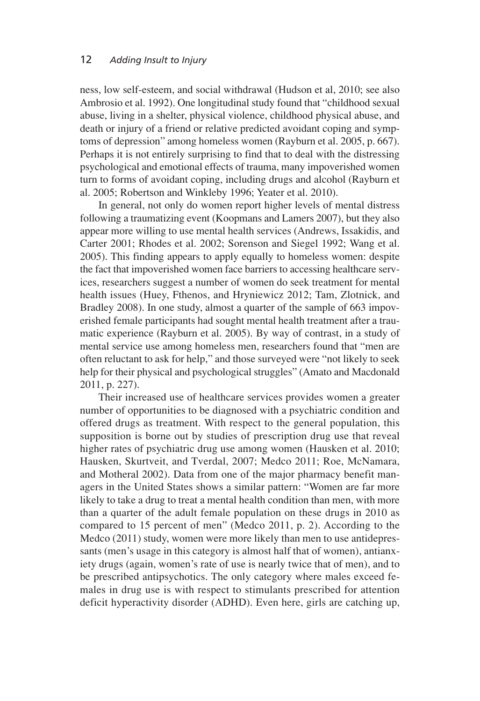ness, low self-esteem, and social withdrawal (Hudson et al, 2010; see also Ambrosio et al. 1992). One longitudinal study found that "childhood sexual abuse, living in a shelter, physical violence, childhood physical abuse, and death or injury of a friend or relative predicted avoidant coping and symptoms of depression" among homeless women (Rayburn et al. 2005, p. 667). Perhaps it is not entirely surprising to find that to deal with the distressing psychological and emotional effects of trauma, many impoverished women turn to forms of avoidant coping, including drugs and alcohol (Rayburn et al. 2005; Robertson and Winkleby 1996; Yeater et al. 2010).

In general, not only do women report higher levels of mental distress following a traumatizing event (Koopmans and Lamers 2007), but they also appear more willing to use mental health services (Andrews, Issakidis, and Carter 2001; Rhodes et al. 2002; Sorenson and Siegel 1992; Wang et al. 2005). This finding appears to apply equally to homeless women: despite the fact that impoverished women face barriers to accessing healthcare services, researchers suggest a number of women do seek treatment for mental health issues (Huey, Fthenos, and Hryniewicz 2012; Tam, Zlotnick, and Bradley 2008). In one study, almost a quarter of the sample of 663 impoverished female participants had sought mental health treatment after a traumatic experience (Rayburn et al. 2005). By way of contrast, in a study of mental service use among homeless men, researchers found that "men are often reluctant to ask for help," and those surveyed were "not likely to seek help for their physical and psychological struggles" (Amato and Macdonald 2011, p. 227).

Their increased use of healthcare services provides women a greater number of opportunities to be diagnosed with a psychiatric condition and offered drugs as treatment. With respect to the general population, this supposition is borne out by studies of prescription drug use that reveal higher rates of psychiatric drug use among women (Hausken et al. 2010; Hausken, Skurtveit, and Tverdal, 2007; Medco 2011; Roe, McNamara, and Motheral 2002). Data from one of the major pharmacy benefit managers in the United States shows a similar pattern: "Women are far more likely to take a drug to treat a mental health condition than men, with more than a quarter of the adult female population on these drugs in 2010 as compared to 15 percent of men" (Medco 2011, p. 2). According to the Medco (2011) study, women were more likely than men to use antidepressants (men's usage in this category is almost half that of women), antianxiety drugs (again, women's rate of use is nearly twice that of men), and to be prescribed antipsychotics. The only category where males exceed females in drug use is with respect to stimulants prescribed for attention deficit hyperactivity disorder (ADHD). Even here, girls are catching up,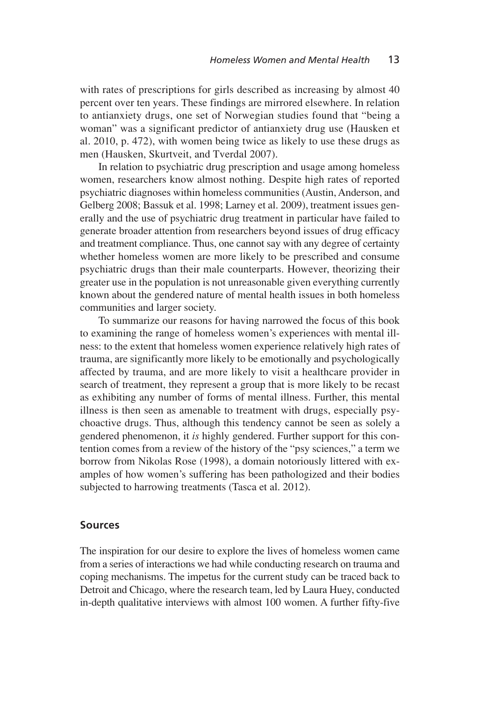with rates of prescriptions for girls described as increasing by almost 40 percent over ten years. These findings are mirrored elsewhere. In relation to antianxiety drugs, one set of Norwegian studies found that "being a woman" was a significant predictor of antianxiety drug use (Hausken et al. 2010, p. 472), with women being twice as likely to use these drugs as men (Hausken, Skurtveit, and Tverdal 2007).

In relation to psychiatric drug prescription and usage among homeless women, researchers know almost nothing. Despite high rates of reported psychiatric diagnoses within homeless communities (Austin, Anderson, and Gelberg 2008; Bassuk et al. 1998; Larney et al. 2009), treatment issues generally and the use of psychiatric drug treatment in particular have failed to generate broader attention from researchers beyond issues of drug efficacy and treatment compliance. Thus, one cannot say with any degree of certainty whether homeless women are more likely to be prescribed and consume psychiatric drugs than their male counterparts. However, theorizing their greater use in the population is not unreasonable given everything currently known about the gendered nature of mental health issues in both homeless communities and larger society.

To summarize our reasons for having narrowed the focus of this book to examining the range of homeless women's experiences with mental illness: to the extent that homeless women experience relatively high rates of trauma, are significantly more likely to be emotionally and psychologically affected by trauma, and are more likely to visit a healthcare provider in search of treatment, they represent a group that is more likely to be recast as exhibiting any number of forms of mental illness. Further, this mental illness is then seen as amenable to treatment with drugs, especially psychoactive drugs. Thus, although this tendency cannot be seen as solely a gendered phenomenon, it *is* highly gendered. Further support for this contention comes from a review of the history of the "psy sciences," a term we borrow from Nikolas Rose (1998), a domain notoriously littered with examples of how women's suffering has been pathologized and their bodies subjected to harrowing treatments (Tasca et al. 2012).

#### **Sources**

The inspiration for our desire to explore the lives of homeless women came from a series of interactions we had while conducting research on trauma and coping mechanisms. The impetus for the current study can be traced back to Detroit and Chicago, where the research team, led by Laura Huey, conducted in-depth qualitative interviews with almost 100 women. A further fifty-five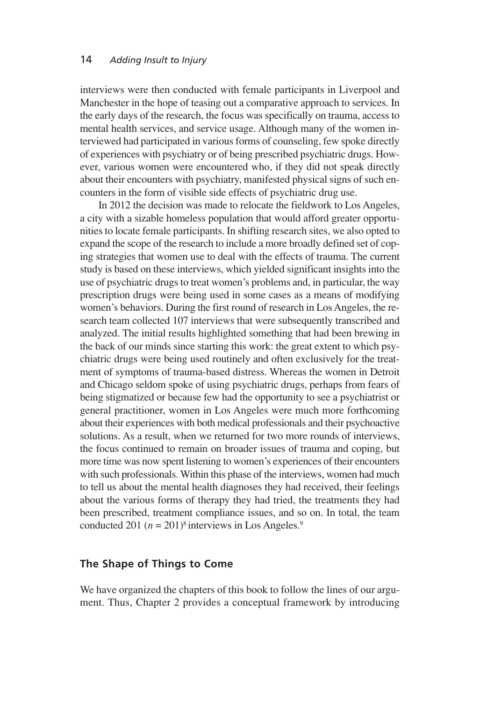interviews were then conducted with female participants in Liverpool and Manchester in the hope of teasing out a comparative approach to services. In the early days of the research, the focus was specifically on trauma, access to mental health services, and service usage. Although many of the women interviewed had participated in various forms of counseling, few spoke directly of experiences with psychiatry or of being prescribed psychiatric drugs. However, various women were encountered who, if they did not speak directly about their encounters with psychiatry, manifested physical signs of such encounters in the form of visible side effects of psychiatric drug use.

In 2012 the decision was made to relocate the fieldwork to Los Angeles, a city with a sizable homeless population that would afford greater opportunitiesto locate female participants. In shifting research sites, we also opted to expand the scope of the research to include a more broadly defined set of coping strategies that women use to deal with the effects of trauma. The current study is based on these interviews, which yielded significant insights into the use of psychiatric drugs to treat women's problems and, in particular, the way prescription drugs were being used in some cases as a means of modifying women's behaviors. During the first round of research in Los Angeles, the research team collected 107 interviews that were subsequently transcribed and analyzed. The initial results highlighted something that had been brewing in the back of our minds since starting this work: the great extent to which psychiatric drugs were being used routinely and often exclusively for the treatment of symptoms of trauma-based distress. Whereas the women in Detroit and Chicago seldom spoke of using psychiatric drugs, perhaps from fears of being stigmatized or because few had the opportunity to see a psychiatrist or general practitioner, women in Los Angeles were much more forthcoming about their experiences with both medical professionals and their psychoactive solutions. As a result, when we returned for two more rounds of interviews, the focus continued to remain on broader issues of trauma and coping, but more time was now spent listening to women's experiences of their encounters with such professionals. Within this phase of the interviews, women had much to tell us about the mental health diagnoses they had received, their feelings about the various forms of therapy they had tried, the treatments they had been prescribed, treatment compliance issues, and so on. In total, the team conducted 201  $(n = 201)^8$  interviews in Los Angeles.<sup>9</sup>

#### **The Shape of Things to Come**

We have organized the chapters of this book to follow the lines of our argument. Thus, Chapter 2 provides a conceptual framework by introducing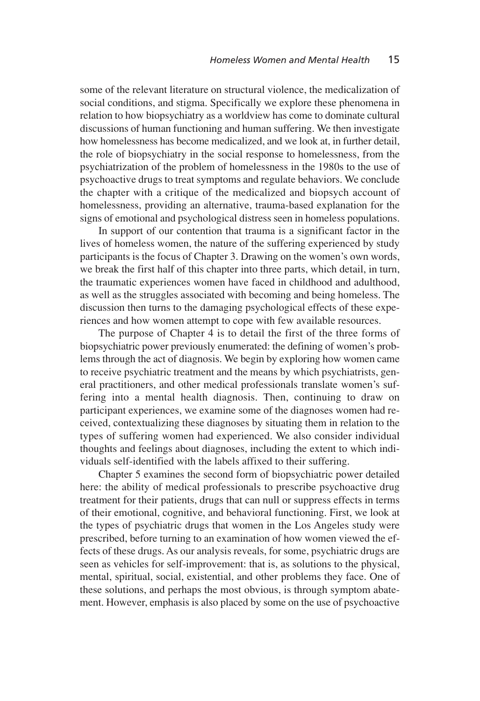some of the relevant literature on structural violence, the medicalization of social conditions, and stigma. Specifically we explore these phenomena in relation to how biopsychiatry as a worldview has come to dominate cultural discussions of human functioning and human suffering. We then investigate how homelessness has become medicalized, and we look at, in further detail, the role of biopsychiatry in the social response to homelessness, from the psychiatrization of the problem of homelessness in the 1980s to the use of psychoactive drugs to treat symptoms and regulate behaviors. We conclude the chapter with a critique of the medicalized and biopsych account of homelessness, providing an alternative, trauma-based explanation for the signs of emotional and psychological distress seen in homeless populations.

In support of our contention that trauma is a significant factor in the lives of homeless women, the nature of the suffering experienced by study participants is the focus of Chapter 3. Drawing on the women's own words, we break the first half of this chapter into three parts, which detail, in turn, the traumatic experiences women have faced in childhood and adulthood, as well as the struggles associated with becoming and being homeless. The discussion then turns to the damaging psychological effects of these experiences and how women attempt to cope with few available resources.

The purpose of Chapter 4 is to detail the first of the three forms of biopsychiatric power previously enumerated: the defining of women's problems through the act of diagnosis. We begin by exploring how women came to receive psychiatric treatment and the means by which psychiatrists, general practitioners, and other medical professionals translate women's suffering into a mental health diagnosis. Then, continuing to draw on participant experiences, we examine some of the diagnoses women had received, contextualizing these diagnoses by situating them in relation to the types of suffering women had experienced. We also consider individual thoughts and feelings about diagnoses, including the extent to which individuals self-identified with the labels affixed to their suffering.

Chapter 5 examines the second form of biopsychiatric power detailed here: the ability of medical professionals to prescribe psychoactive drug treatment for their patients, drugs that can null or suppress effects in terms of their emotional, cognitive, and behavioral functioning. First, we look at the types of psychiatric drugs that women in the Los Angeles study were prescribed, before turning to an examination of how women viewed the effects of these drugs. As our analysis reveals, for some, psychiatric drugs are seen as vehicles for self-improvement: that is, as solutions to the physical, mental, spiritual, social, existential, and other problems they face. One of these solutions, and perhaps the most obvious, is through symptom abatement. However, emphasis is also placed by some on the use of psychoactive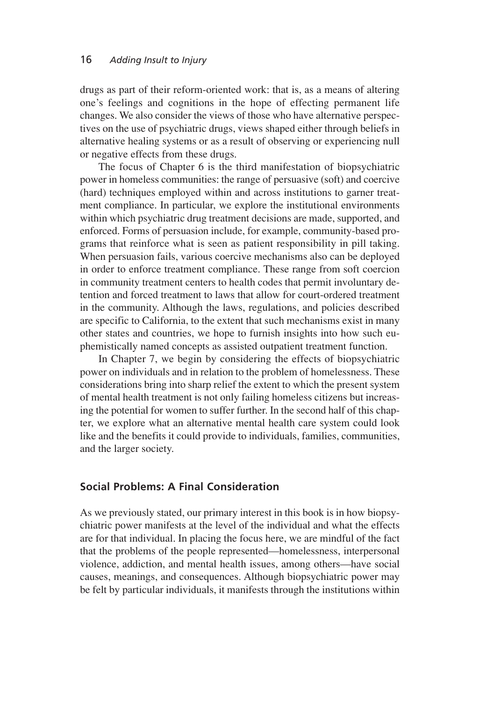drugs as part of their reform-oriented work: that is, as a means of altering one's feelings and cognitions in the hope of effecting permanent life changes. We also consider the views of those who have alternative perspectives on the use of psychiatric drugs, views shaped either through beliefs in alternative healing systems or as a result of observing or experiencing null or negative effects from these drugs.

The focus of Chapter 6 is the third manifestation of biopsychiatric power in homeless communities: the range of persuasive (soft) and coercive (hard) techniques employed within and across institutions to garner treatment compliance. In particular, we explore the institutional environments within which psychiatric drug treatment decisions are made, supported, and enforced. Forms of persuasion include, for example, community-based programs that reinforce what is seen as patient responsibility in pill taking. When persuasion fails, various coercive mechanisms also can be deployed in order to enforce treatment compliance. These range from soft coercion in community treatment centers to health codes that permit involuntary detention and forced treatment to laws that allow for court-ordered treatment in the community. Although the laws, regulations, and policies described are specific to California, to the extent that such mechanisms exist in many other states and countries, we hope to furnish insights into how such euphemistically named concepts as assisted outpatient treatment function.

In Chapter 7, we begin by considering the effects of biopsychiatric power on individuals and in relation to the problem of homelessness. These considerations bring into sharp relief the extent to which the present system of mental health treatment is not only failing homeless citizens but increasing the potential for women to suffer further. In the second half of this chapter, we explore what an alternative mental health care system could look like and the benefits it could provide to individuals, families, communities, and the larger society.

#### **Social Problems: A Final Consideration**

As we previously stated, our primary interest in this book is in how biopsychiatric power manifests at the level of the individual and what the effects are for that individual. In placing the focus here, we are mindful of the fact that the problems of the people represented—homelessness, interpersonal violence, addiction, and mental health issues, among others—have social causes, meanings, and consequences. Although biopsychiatric power may be felt by particular individuals, it manifests through the institutions within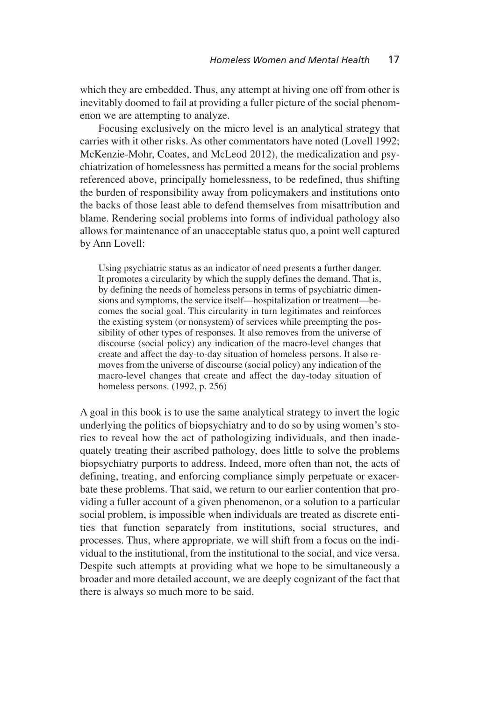which they are embedded. Thus, any attempt at hiving one off from other is inevitably doomed to fail at providing a fuller picture of the social phenomenon we are attempting to analyze.

Focusing exclusively on the micro level is an analytical strategy that carries with it other risks. As other commentators have noted (Lovell 1992; McKenzie-Mohr, Coates, and McLeod 2012), the medicalization and psychiatrization of homelessness has permitted a means for the social problems referenced above, principally homelessness, to be redefined, thus shifting the burden of responsibility away from policymakers and institutions onto the backs of those least able to defend themselves from misattribution and blame. Rendering social problems into forms of individual pathology also allows for maintenance of an unacceptable status quo, a point well captured by Ann Lovell:

Using psychiatric status as an indicator of need presents a further danger. It promotes a circularity by which the supply defines the demand. That is, by defining the needs of homeless persons in terms of psychiatric dimensions and symptoms, the service itself—hospitalization or treatment—becomes the social goal. This circularity in turn legitimates and reinforces the existing system (or nonsystem) of services while preempting the possibility of other types of responses. It also removes from the universe of discourse (social policy) any indication of the macro-level changes that create and affect the day-to-day situation of homeless persons. It also removes from the universe of discourse (social policy) any indication of the macro-level changes that create and affect the day-today situation of homeless persons. (1992, p. 256)

A goal in this book is to use the same analytical strategy to invert the logic underlying the politics of biopsychiatry and to do so by using women's stories to reveal how the act of pathologizing individuals, and then inadequately treating their ascribed pathology, does little to solve the problems biopsychiatry purports to address. Indeed, more often than not, the acts of defining, treating, and enforcing compliance simply perpetuate or exacerbate these problems. That said, we return to our earlier contention that providing a fuller account of a given phenomenon, or a solution to a particular social problem, is impossible when individuals are treated as discrete entities that function separately from institutions, social structures, and processes. Thus, where appropriate, we will shift from a focus on the individual to the institutional, from the institutional to the social, and vice versa. Despite such attempts at providing what we hope to be simultaneously a broader and more detailed account, we are deeply cognizant of the fact that there is always so much more to be said.